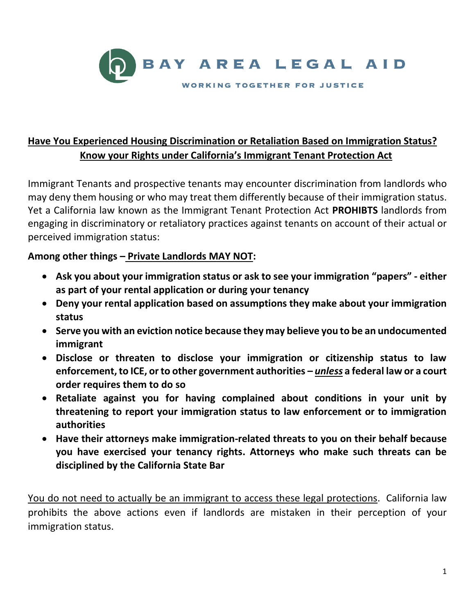

## **Have You Experienced Housing Discrimination or Retaliation Based on Immigration Status? Know your Rights under California's Immigrant Tenant Protection Act**

Immigrant Tenants and prospective tenants may encounter discrimination from landlords who may deny them housing or who may treat them differently because of their immigration status. Yet a California law known as the Immigrant Tenant Protection Act **PROHIBTS** landlords from engaging in discriminatory or retaliatory practices against tenants on account of their actual or perceived immigration status:

## **Among other things – Private Landlords MAY NOT:**

- **Ask you about your immigration status or ask to see your immigration "papers" - either as part of your rental application or during your tenancy**
- **Deny your rental application based on assumptions they make about your immigration status**
- **Serve you with an eviction notice because they may believe you to be an undocumented immigrant**
- **Disclose or threaten to disclose your immigration or citizenship status to law enforcement, to ICE, or to other government authorities –** *unless* **a federal law or a court order requires them to do so**
- **Retaliate against you for having complained about conditions in your unit by threatening to report your immigration status to law enforcement or to immigration authorities**
- **Have their attorneys make immigration-related threats to you on their behalf because you have exercised your tenancy rights. Attorneys who make such threats can be disciplined by the California State Bar**

You do not need to actually be an immigrant to access these legal protections. California law prohibits the above actions even if landlords are mistaken in their perception of your immigration status.